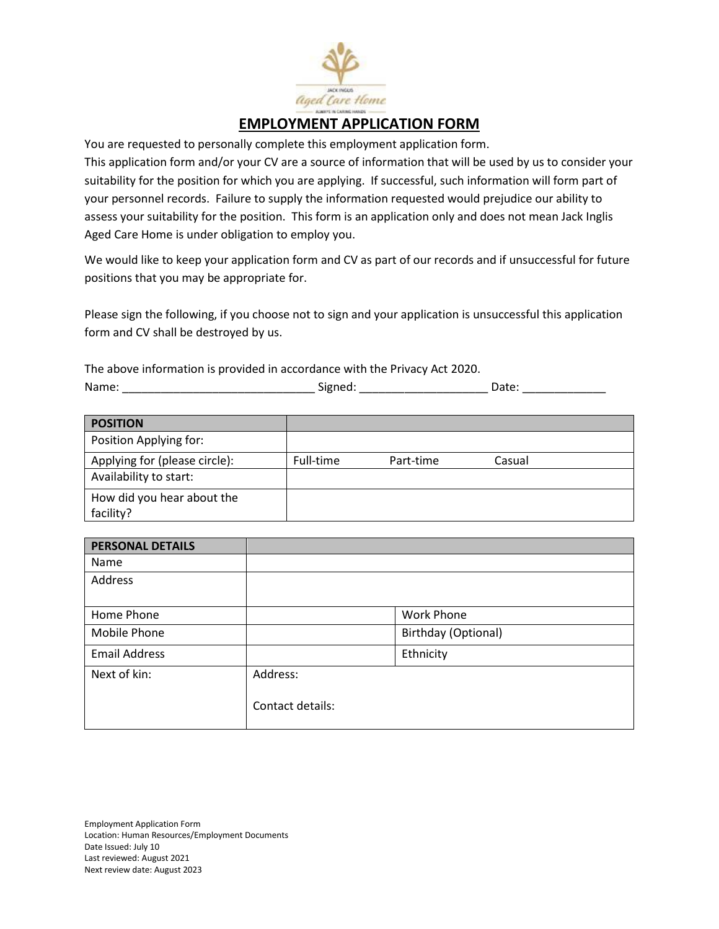

# **EMPLOYMENT APPLICATION FORM**

You are requested to personally complete this employment application form.

This application form and/or your CV are a source of information that will be used by us to consider your suitability for the position for which you are applying. If successful, such information will form part of your personnel records. Failure to supply the information requested would prejudice our ability to assess your suitability for the position. This form is an application only and does not mean Jack Inglis Aged Care Home is under obligation to employ you.

We would like to keep your application form and CV as part of our records and if unsuccessful for future positions that you may be appropriate for.

Please sign the following, if you choose not to sign and your application is unsuccessful this application form and CV shall be destroyed by us.

The above information is provided in accordance with the Privacy Act 2020. Name: \_\_\_\_\_\_\_\_\_\_\_\_\_\_\_\_\_\_\_\_\_\_\_\_\_\_\_\_\_\_ Signed: \_\_\_\_\_\_\_\_\_\_\_\_\_\_\_\_\_\_\_\_ Date: \_\_\_\_\_\_\_\_\_\_\_\_\_

| <b>POSITION</b>               |           |           |        |  |
|-------------------------------|-----------|-----------|--------|--|
| Position Applying for:        |           |           |        |  |
| Applying for (please circle): | Full-time | Part-time | Casual |  |
| Availability to start:        |           |           |        |  |
| How did you hear about the    |           |           |        |  |
| facility?                     |           |           |        |  |

| <b>PERSONAL DETAILS</b> |                  |                     |
|-------------------------|------------------|---------------------|
| Name                    |                  |                     |
| Address                 |                  |                     |
|                         |                  |                     |
| Home Phone              |                  | <b>Work Phone</b>   |
| Mobile Phone            |                  | Birthday (Optional) |
| <b>Email Address</b>    |                  | Ethnicity           |
| Next of kin:            | Address:         |                     |
|                         | Contact details: |                     |

Employment Application Form Location: Human Resources/Employment Documents Date Issued: July 10 Last reviewed: August 2021 Next review date: August 2023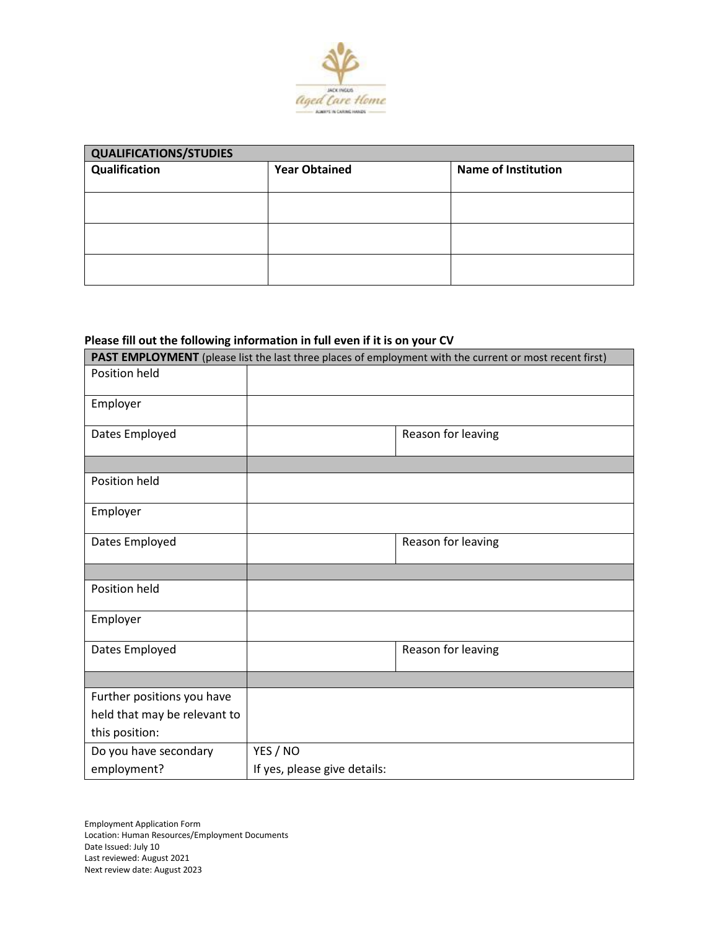

| <b>QUALIFICATIONS/STUDIES</b> |                            |  |  |
|-------------------------------|----------------------------|--|--|
| <b>Year Obtained</b>          | <b>Name of Institution</b> |  |  |
|                               |                            |  |  |
|                               |                            |  |  |
|                               |                            |  |  |
|                               |                            |  |  |
|                               |                            |  |  |
|                               |                            |  |  |
|                               |                            |  |  |
|                               |                            |  |  |

# **Please fill out the following information in full even if it is on your CV**

| PAST EMPLOYMENT (please list the last three places of employment with the current or most recent first) |                              |                    |
|---------------------------------------------------------------------------------------------------------|------------------------------|--------------------|
| Position held                                                                                           |                              |                    |
| Employer                                                                                                |                              |                    |
| Dates Employed                                                                                          |                              | Reason for leaving |
| Position held                                                                                           |                              |                    |
| Employer                                                                                                |                              |                    |
| Dates Employed                                                                                          |                              | Reason for leaving |
|                                                                                                         |                              |                    |
| Position held                                                                                           |                              |                    |
| Employer                                                                                                |                              |                    |
| Dates Employed                                                                                          |                              | Reason for leaving |
|                                                                                                         |                              |                    |
| Further positions you have                                                                              |                              |                    |
| held that may be relevant to                                                                            |                              |                    |
| this position:                                                                                          |                              |                    |
| Do you have secondary                                                                                   | YES / NO                     |                    |
| employment?                                                                                             | If yes, please give details: |                    |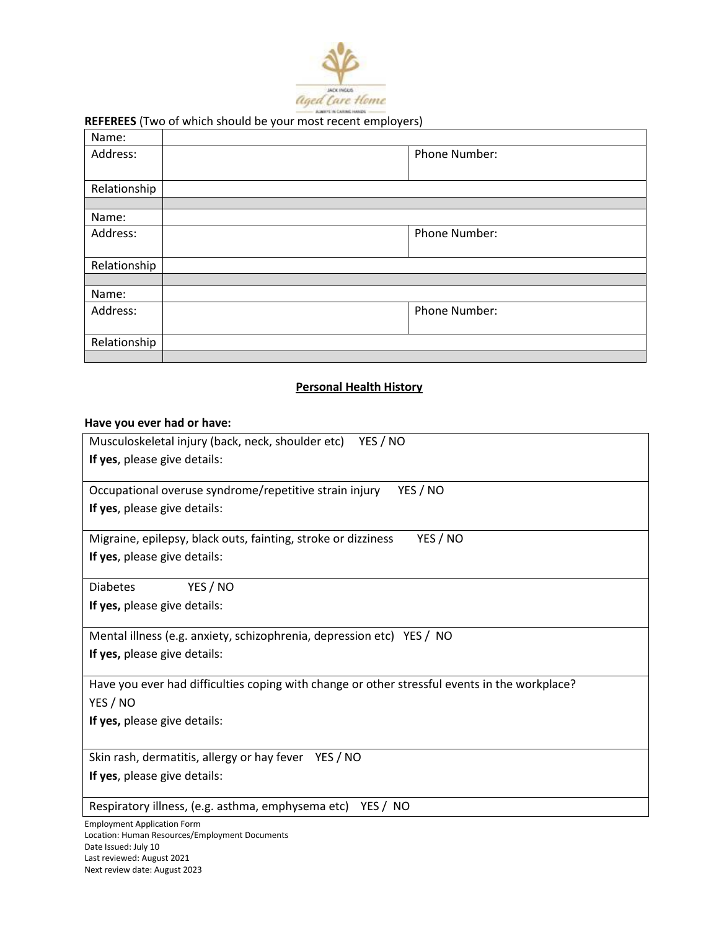

### **REFEREES** (Two of which should be your most recent employers)

| Name:        |               |
|--------------|---------------|
| Address:     | Phone Number: |
|              |               |
| Relationship |               |
|              |               |
| Name:        |               |
| Address:     | Phone Number: |
|              |               |
| Relationship |               |
|              |               |
| Name:        |               |
| Address:     | Phone Number: |
|              |               |
| Relationship |               |
|              |               |

## **Personal Health History**

## **Have you ever had or have:**

| Musculoskeletal injury (back, neck, shoulder etc) YES / NO                                    |
|-----------------------------------------------------------------------------------------------|
| If yes, please give details:                                                                  |
| Occupational overuse syndrome/repetitive strain injury<br>YES / NO                            |
| If yes, please give details:                                                                  |
| YES / NO<br>Migraine, epilepsy, black outs, fainting, stroke or dizziness                     |
| If yes, please give details:                                                                  |
| YES / NO<br><b>Diabetes</b>                                                                   |
| If yes, please give details:                                                                  |
| Mental illness (e.g. anxiety, schizophrenia, depression etc) YES / NO                         |
| If yes, please give details:                                                                  |
| Have you ever had difficulties coping with change or other stressful events in the workplace? |
| YES / NO                                                                                      |
| If yes, please give details:                                                                  |
| Skin rash, dermatitis, allergy or hay fever YES / NO                                          |
| If yes, please give details:                                                                  |
| Respiratory illness, (e.g. asthma, emphysema etc) YES / NO                                    |
|                                                                                               |

Employment Application Form Location: Human Resources/Employment Documents Date Issued: July 10 Last reviewed: August 2021 Next review date: August 2023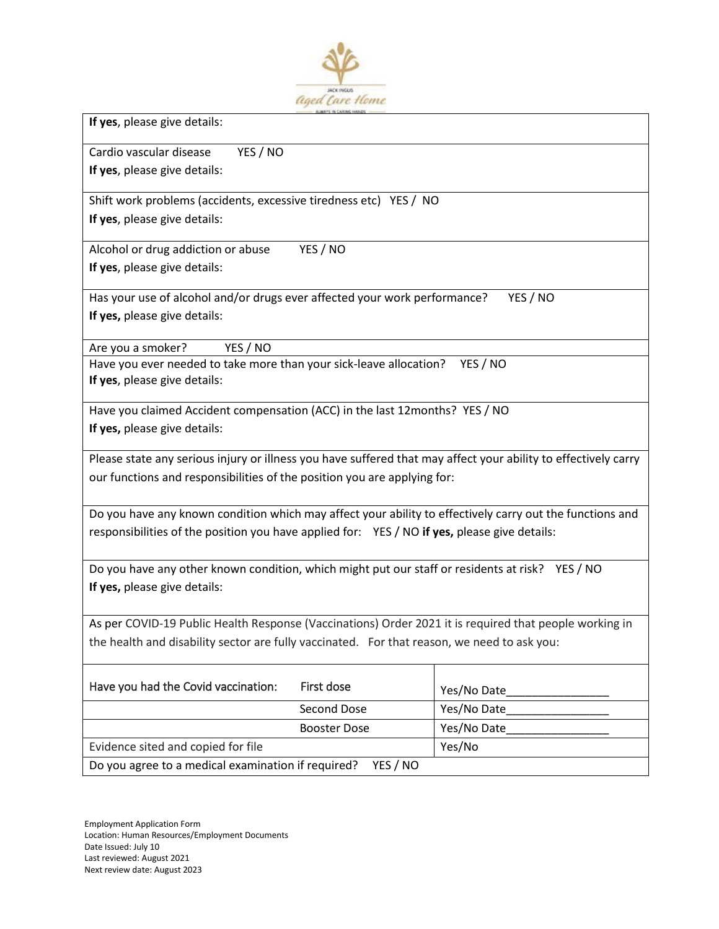

**If yes**, please give details:

Cardio vascular disease YES / NO **If yes**, please give details:

Shift work problems (accidents, excessive tiredness etc) YES / NO **If yes**, please give details:

Alcohol or drug addiction or abuse YES / NO **If yes**, please give details:

Has your use of alcohol and/or drugs ever affected your work performance? YES / NO **If yes,** please give details:

Are you a smoker? YES / NO

Have you ever needed to take more than your sick-leave allocation? YES / NO **If yes**, please give details:

Have you claimed Accident compensation (ACC) in the last 12months? YES / NO **If yes,** please give details:

Please state any serious injury or illness you have suffered that may affect your ability to effectively carry our functions and responsibilities of the position you are applying for:

Do you have any known condition which may affect your ability to effectively carry out the functions and responsibilities of the position you have applied for: YES / NO **if yes,** please give details:

Do you have any other known condition, which might put our staff or residents at risk? YES / NO **If yes,** please give details:

As per COVID-19 Public Health Response (Vaccinations) Order 2021 it is required that people working in the health and disability sector are fully vaccinated. For that reason, we need to ask you:

| Have you had the Covid vaccination:                | First dose          | Yes/No Date |
|----------------------------------------------------|---------------------|-------------|
|                                                    | Second Dose         | Yes/No Date |
|                                                    | <b>Booster Dose</b> | Yes/No Date |
| Evidence sited and copied for file                 |                     | Yes/No      |
| Do you agree to a medical examination if required? | YES / NO            |             |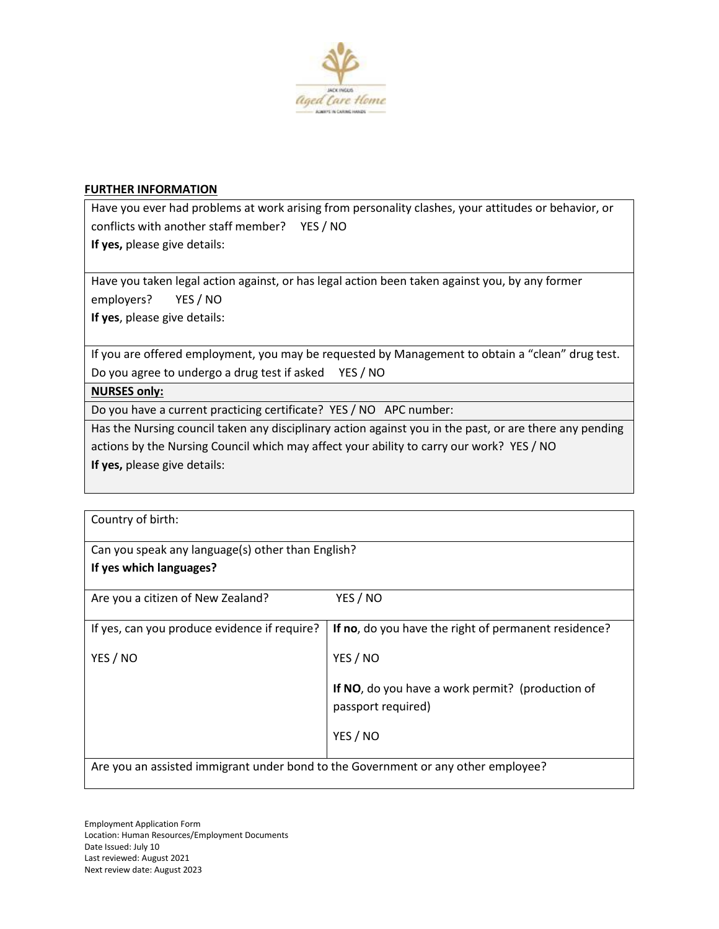

### **FURTHER INFORMATION**

Have you ever had problems at work arising from personality clashes, your attitudes or behavior, or conflicts with another staff member? YES / NO **If yes,** please give details:

Have you taken legal action against, or has legal action been taken against you, by any former employers? YES / NO

**If yes**, please give details:

If you are offered employment, you may be requested by Management to obtain a "clean" drug test. Do you agree to undergo a drug test if asked YES / NO

## **NURSES only:**

Do you have a current practicing certificate? YES / NO APC number:

Has the Nursing council taken any disciplinary action against you in the past, or are there any pending actions by the Nursing Council which may affect your ability to carry our work? YES / NO **If yes,** please give details:

| Country of birth:                                                                 |                                                      |
|-----------------------------------------------------------------------------------|------------------------------------------------------|
| Can you speak any language(s) other than English?                                 |                                                      |
| If yes which languages?                                                           |                                                      |
|                                                                                   |                                                      |
| Are you a citizen of New Zealand?                                                 | YES / NO                                             |
| If yes, can you produce evidence if require?                                      | If no, do you have the right of permanent residence? |
| YES / NO                                                                          | YES / NO                                             |
| If NO, do you have a work permit? (production of<br>passport required)            |                                                      |
|                                                                                   | YES / NO                                             |
| Are you an assisted immigrant under bond to the Government or any other employee? |                                                      |